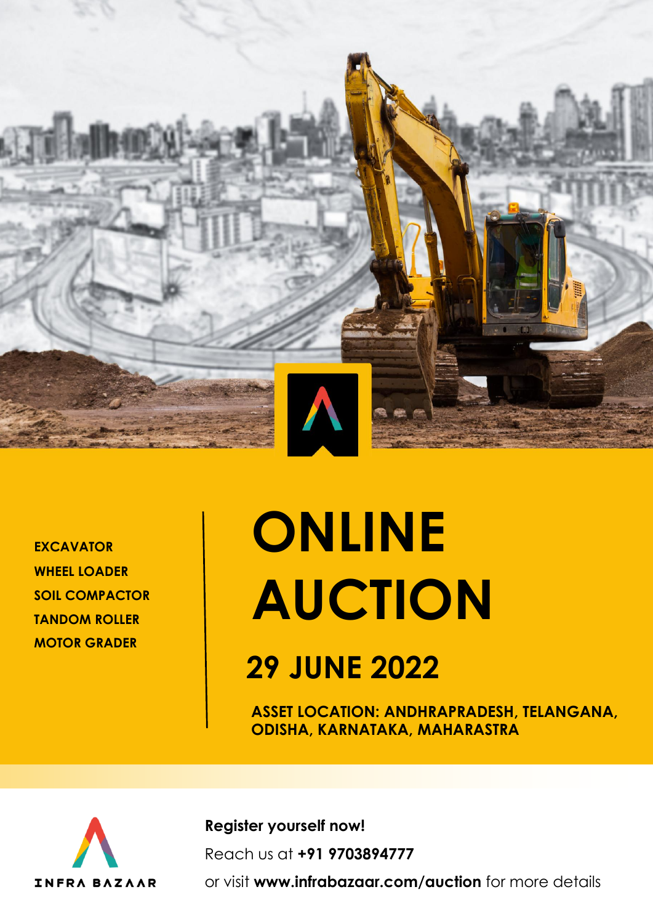

**EXCAVATOR WHEEL LOADER SOIL COMPACTOR TANDOM ROLLER MOTOR GRADER**

# **ONLINE AUCTION**

## **29 JUNE 2022**

**ASSET LOCATION: ANDHRAPRADESH, TELANGANA, ODISHA, KARNATAKA, MAHARASTRA**



**Register yourself now!** Reach us at **+91 9703894777** 

or visit **www.infrabazaar.com/auction** for more details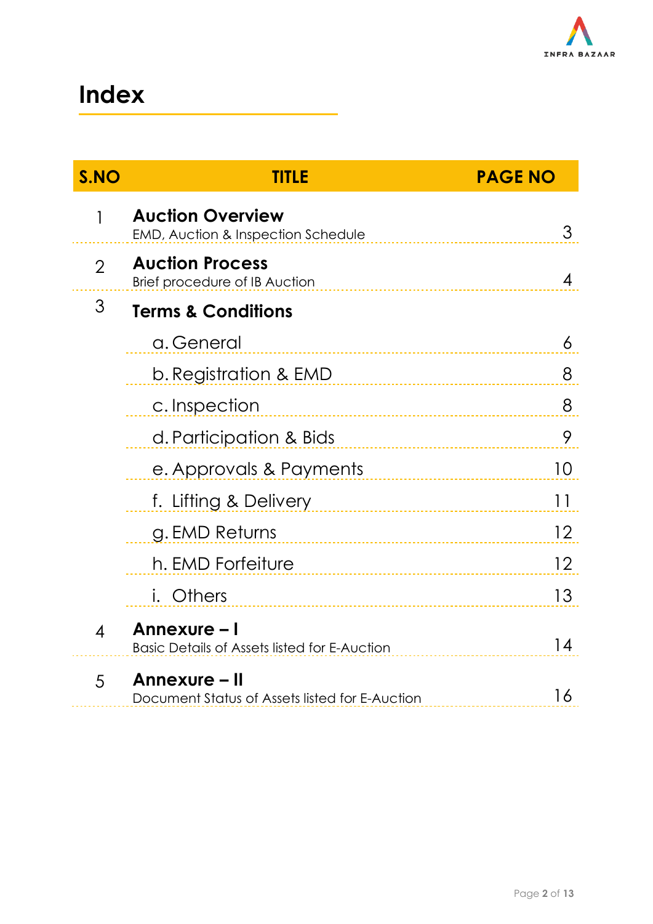

### **Index**

| S.NO                     | TITLE                                                                    | <b>PAGE NO</b> |  |  |  |  |  |
|--------------------------|--------------------------------------------------------------------------|----------------|--|--|--|--|--|
| 1                        | <b>Auction Overview</b><br><b>EMD, Auction &amp; Inspection Schedule</b> | 3              |  |  |  |  |  |
| $\overline{2}$           | <b>Auction Process</b><br>Brief procedure of IB Auction                  | 4              |  |  |  |  |  |
| 3                        | <b>Terms &amp; Conditions</b>                                            |                |  |  |  |  |  |
|                          | a. General                                                               | 6              |  |  |  |  |  |
|                          | b. Registration & EMD                                                    | 8              |  |  |  |  |  |
|                          | c. Inspection                                                            | 8              |  |  |  |  |  |
|                          | d. Participation & Bids                                                  | 9              |  |  |  |  |  |
|                          | e. Approvals & Payments                                                  | 10             |  |  |  |  |  |
|                          | f. Lifting & Delivery                                                    | 11             |  |  |  |  |  |
|                          | g. EMD Returns                                                           | 12             |  |  |  |  |  |
|                          | h. EMD Forfeiture                                                        | 12             |  |  |  |  |  |
|                          | <i>i.</i> Others                                                         | 13             |  |  |  |  |  |
| $\overline{\mathcal{A}}$ | Annexure – I<br><b>Basic Details of Assets listed for E-Auction</b>      | 14             |  |  |  |  |  |
| 5                        | Annexure – II<br>Document Status of Assets listed for E-Auction          | 16             |  |  |  |  |  |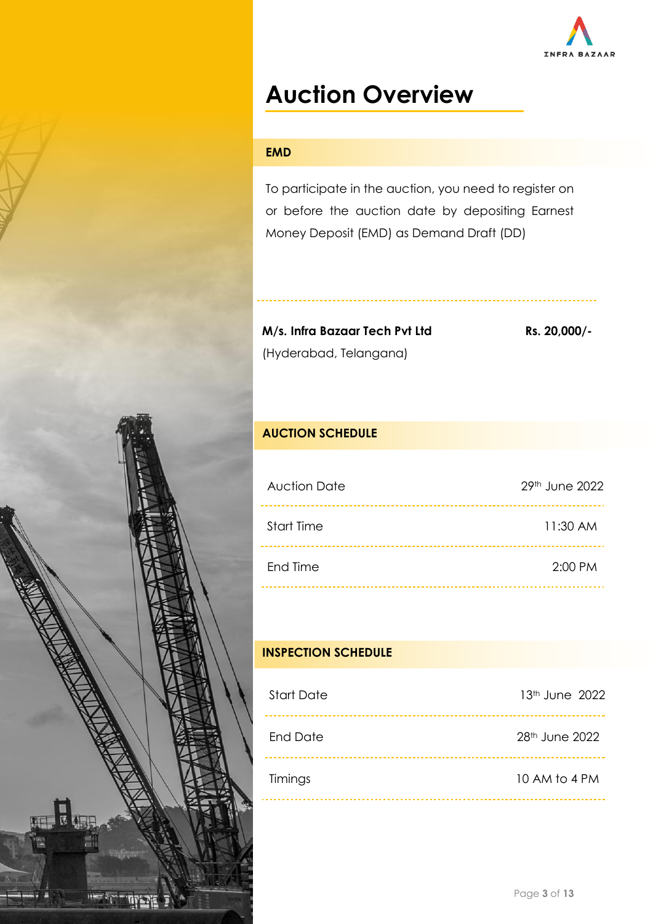

### **Auction Overview**

### **EMD**

To participate in the auction, you need to register on or before the auction date by depositing Earnest Money Deposit (EMD) as Demand Draft (DD)

**M/s. Infra Bazaar Tech Pvt Ltd** (Hyderabad, Telangana)

**Rs. 20,000/-**

### **AUCTION SCHEDULE**

| <b>Auction Date</b> | 29 <sup>th</sup> June 2022 |
|---------------------|----------------------------|
| <b>Start Time</b>   | 11:30 AM                   |
| End Time            | 2:00 PM                    |

### **INSPECTION SCHEDULE**

| <b>Start Date</b> | $13th$ June 2022           |
|-------------------|----------------------------|
| <b>End Date</b>   | 28 <sup>th</sup> June 2022 |
| Timings           | 10 AM to 4 PM              |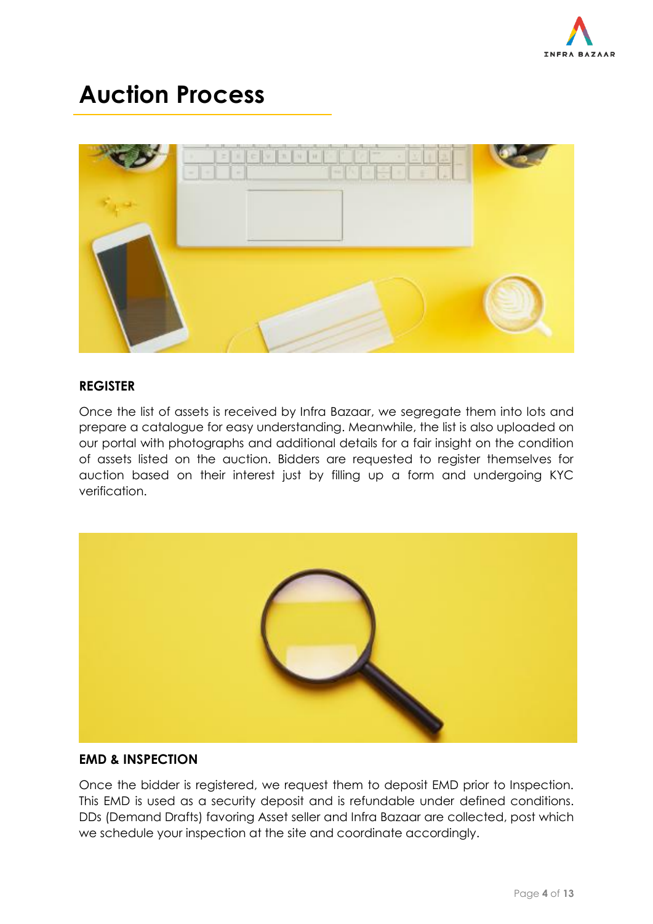

### **Auction Process**



### **REGISTER**

Once the list of assets is received by Infra Bazaar, we segregate them into lots and prepare a catalogue for easy understanding. Meanwhile, the list is also uploaded on our portal with photographs and additional details for a fair insight on the condition of assets listed on the auction. Bidders are requested to register themselves for auction based on their interest just by filling up a form and undergoing KYC verification.



### **EMD & INSPECTION**

Once the bidder is registered, we request them to deposit EMD prior to Inspection. This EMD is used as a security deposit and is refundable under defined conditions. DDs (Demand Drafts) favoring Asset seller and Infra Bazaar are collected, post which we schedule your inspection at the site and coordinate accordingly.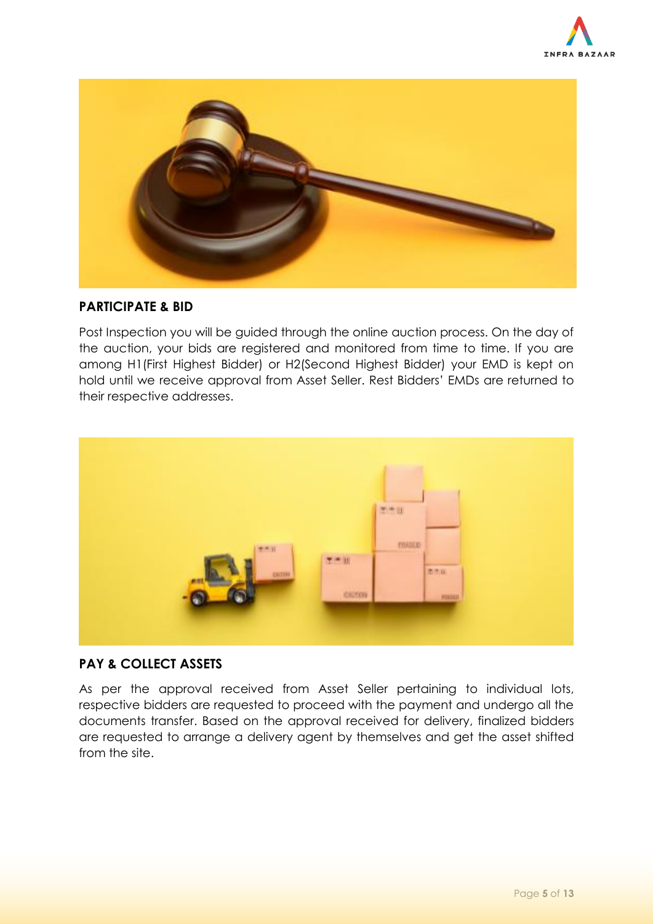



### **PARTICIPATE & BID**

Post Inspection you will be guided through the online auction process. On the day of the auction, your bids are registered and monitored from time to time. If you are among H1(First Highest Bidder) or H2(Second Highest Bidder) your EMD is kept on hold until we receive approval from Asset Seller. Rest Bidders' EMDs are returned to their respective addresses.



### **PAY & COLLECT ASSETS**

As per the approval received from Asset Seller pertaining to individual lots, respective bidders are requested to proceed with the payment and undergo all the documents transfer. Based on the approval received for delivery, finalized bidders are requested to arrange a delivery agent by themselves and get the asset shifted from the site.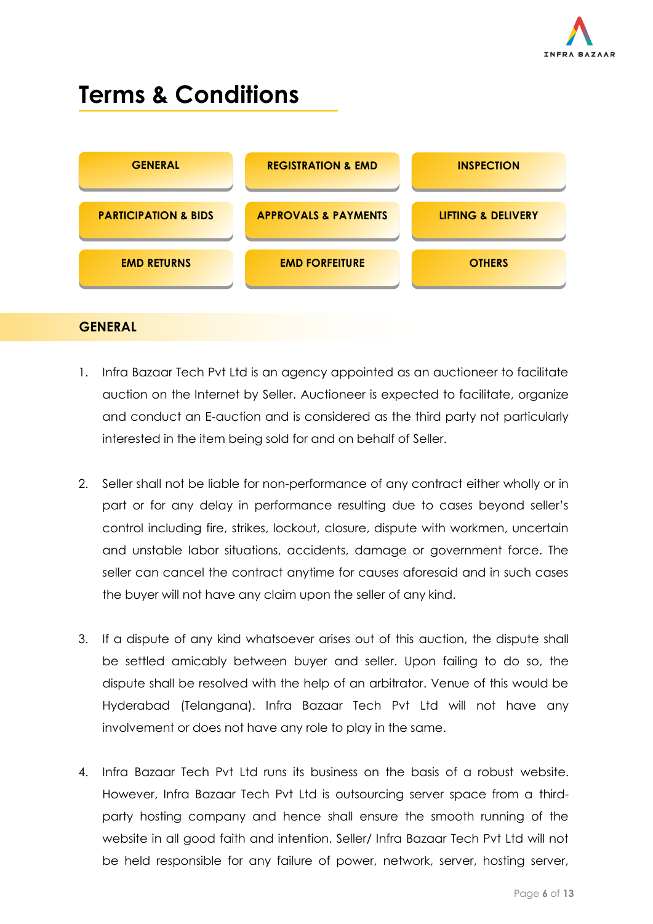

### **Terms & Conditions**



### **GENERAL**

- 1. Infra Bazaar Tech Pvt Ltd is an agency appointed as an auctioneer to facilitate auction on the Internet by Seller. Auctioneer is expected to facilitate, organize and conduct an E-auction and is considered as the third party not particularly interested in the item being sold for and on behalf of Seller.
- 2. Seller shall not be liable for non-performance of any contract either wholly or in part or for any delay in performance resulting due to cases beyond seller's control including fire, strikes, lockout, closure, dispute with workmen, uncertain and unstable labor situations, accidents, damage or government force. The seller can cancel the contract anytime for causes aforesaid and in such cases the buyer will not have any claim upon the seller of any kind.
- 3. If a dispute of any kind whatsoever arises out of this auction, the dispute shall be settled amicably between buyer and seller. Upon failing to do so, the dispute shall be resolved with the help of an arbitrator. Venue of this would be Hyderabad (Telangana). Infra Bazaar Tech Pvt Ltd will not have any involvement or does not have any role to play in the same.
- 4. Infra Bazaar Tech Pvt Ltd runs its business on the basis of a robust website. However, Infra Bazaar Tech Pvt Ltd is outsourcing server space from a thirdparty hosting company and hence shall ensure the smooth running of the website in all good faith and intention. Seller/ Infra Bazaar Tech Pvt Ltd will not be held responsible for any failure of power, network, server, hosting server,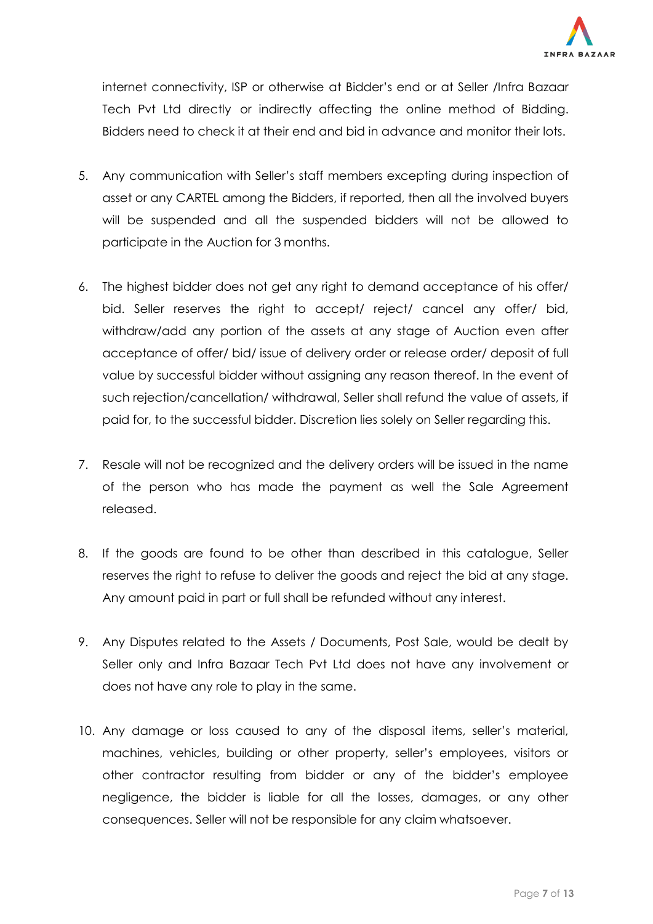

internet connectivity, ISP or otherwise at Bidder's end or at Seller /Infra Bazaar Tech Pvt Ltd directly or indirectly affecting the online method of Bidding. Bidders need to check it at their end and bid in advance and monitor their lots.

- 5. Any communication with Seller's staff members excepting during inspection of asset or any CARTEL among the Bidders, if reported, then all the involved buyers will be suspended and all the suspended bidders will not be allowed to participate in the Auction for 3 months.
- 6. The highest bidder does not get any right to demand acceptance of his offer/ bid. Seller reserves the right to accept/ reject/ cancel any offer/ bid, withdraw/add any portion of the assets at any stage of Auction even after acceptance of offer/ bid/ issue of delivery order or release order/ deposit of full value by successful bidder without assigning any reason thereof. In the event of such rejection/cancellation/ withdrawal, Seller shall refund the value of assets, if paid for, to the successful bidder. Discretion lies solely on Seller regarding this.
- 7. Resale will not be recognized and the delivery orders will be issued in the name of the person who has made the payment as well the Sale Agreement released.
- 8. If the goods are found to be other than described in this catalogue, Seller reserves the right to refuse to deliver the goods and reject the bid at any stage. Any amount paid in part or full shall be refunded without any interest.
- 9. Any Disputes related to the Assets / Documents, Post Sale, would be dealt by Seller only and Infra Bazaar Tech Pvt Ltd does not have any involvement or does not have any role to play in the same.
- 10. Any damage or loss caused to any of the disposal items, seller's material, machines, vehicles, building or other property, seller's employees, visitors or other contractor resulting from bidder or any of the bidder's employee negligence, the bidder is liable for all the losses, damages, or any other consequences. Seller will not be responsible for any claim whatsoever.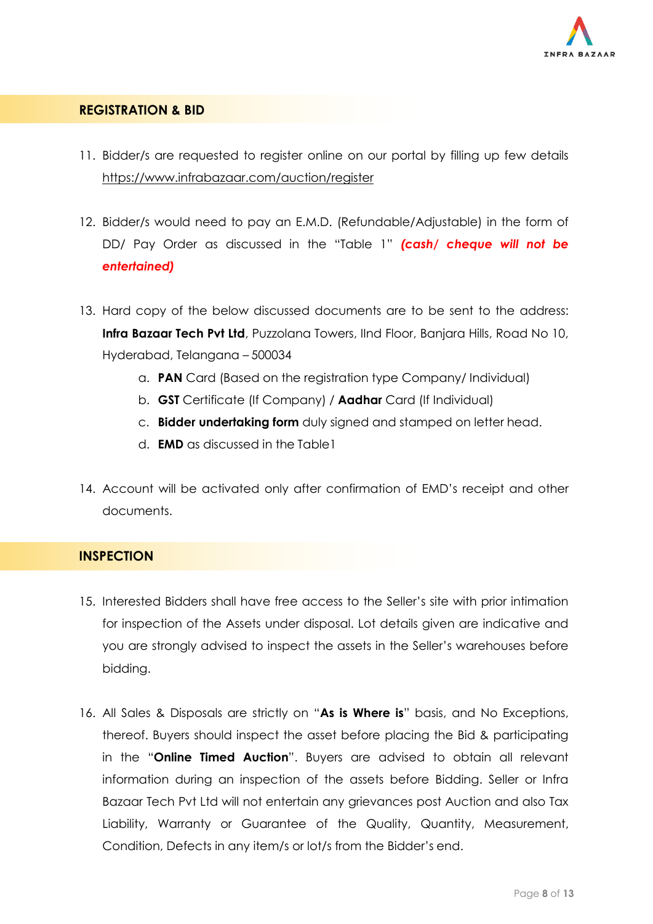

### **REGISTRATION & BID**

- 11. Bidder/s are requested to register online on our portal by filling up few detail[s](https://www.infrabazaar.com/auction/register) <https://www.infrabazaar.com/auction/register>
- 12. Bidder/s would need to pay an E.M.D. (Refundable/Adjustable) in the form of DD/ Pay Order as discussed in the "Table 1" *(cash/ cheque will not be entertained)*
- 13. Hard copy of the below discussed documents are to be sent to the address: **Infra Bazaar Tech Pvt Ltd**, Puzzolana Towers, IInd Floor, Banjara Hills, Road No 10, Hyderabad, Telangana – 500034
	- a. **PAN** Card (Based on the registration type Company/ Individual)
	- b. **GST** Certificate (If Company) / **Aadhar** Card (If Individual)
	- c. **Bidder undertaking form** duly signed and stamped on letter head.
	- d. **EMD** as discussed in the Table1
- 14. Account will be activated only after confirmation of EMD's receipt and other documents.

### **INSPECTION**

- 15. Interested Bidders shall have free access to the Seller's site with prior intimation for inspection of the Assets under disposal. Lot details given are indicative and you are strongly advised to inspect the assets in the Seller's warehouses before bidding.
- 16. All Sales & Disposals are strictly on "**As is Where is**" basis, and No Exceptions, thereof. Buyers should inspect the asset before placing the Bid & participating in the "**Online Timed Auction**". Buyers are advised to obtain all relevant information during an inspection of the assets before Bidding. Seller or Infra Bazaar Tech Pvt Ltd will not entertain any grievances post Auction and also Tax Liability, Warranty or Guarantee of the Quality, Quantity, Measurement, Condition, Defects in any item/s or lot/s from the Bidder's end.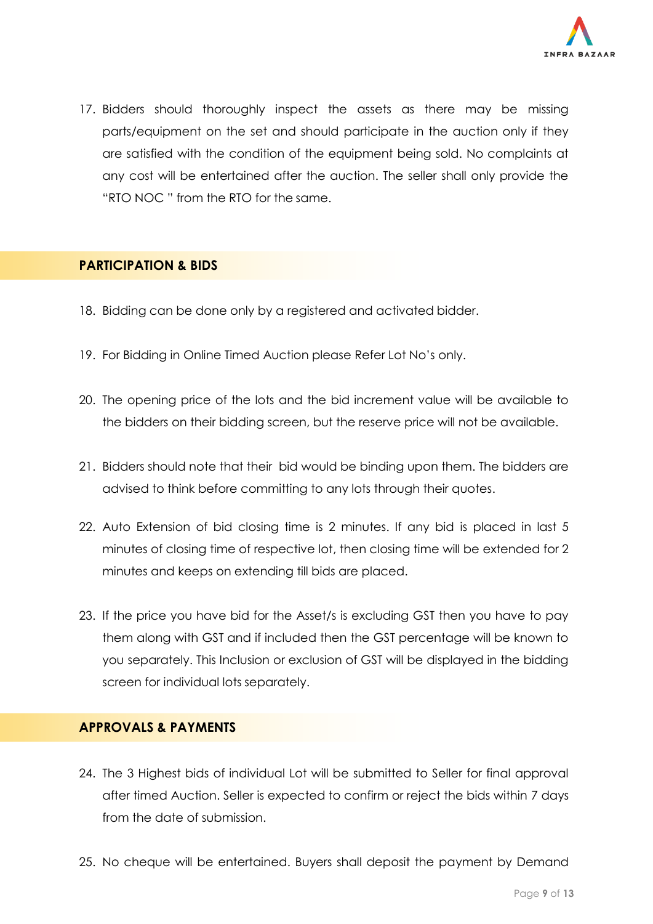

17. Bidders should thoroughly inspect the assets as there may be missing parts/equipment on the set and should participate in the auction only if they are satisfied with the condition of the equipment being sold. No complaints at any cost will be entertained after the auction. The seller shall only provide the "RTO NOC " from the RTO for the same.

### **PARTICIPATION & BIDS**

- 18. Bidding can be done only by a registered and activated bidder.
- 19. For Bidding in Online Timed Auction please Refer Lot No's only.
- 20. The opening price of the lots and the bid increment value will be available to the bidders on their bidding screen, but the reserve price will not be available.
- 21. Bidders should note that their bid would be binding upon them. The bidders are advised to think before committing to any lots through their quotes.
- 22. Auto Extension of bid closing time is 2 minutes. If any bid is placed in last 5 minutes of closing time of respective lot, then closing time will be extended for 2 minutes and keeps on extending till bids are placed.
- 23. If the price you have bid for the Asset/s is excluding GST then you have to pay them along with GST and if included then the GST percentage will be known to you separately. This Inclusion or exclusion of GST will be displayed in the bidding screen for individual lots separately.

### **APPROVALS & PAYMENTS**

- 24. The 3 Highest bids of individual Lot will be submitted to Seller for final approval after timed Auction. Seller is expected to confirm or reject the bids within 7 days from the date of submission.
- 25. No cheque will be entertained. Buyers shall deposit the payment by Demand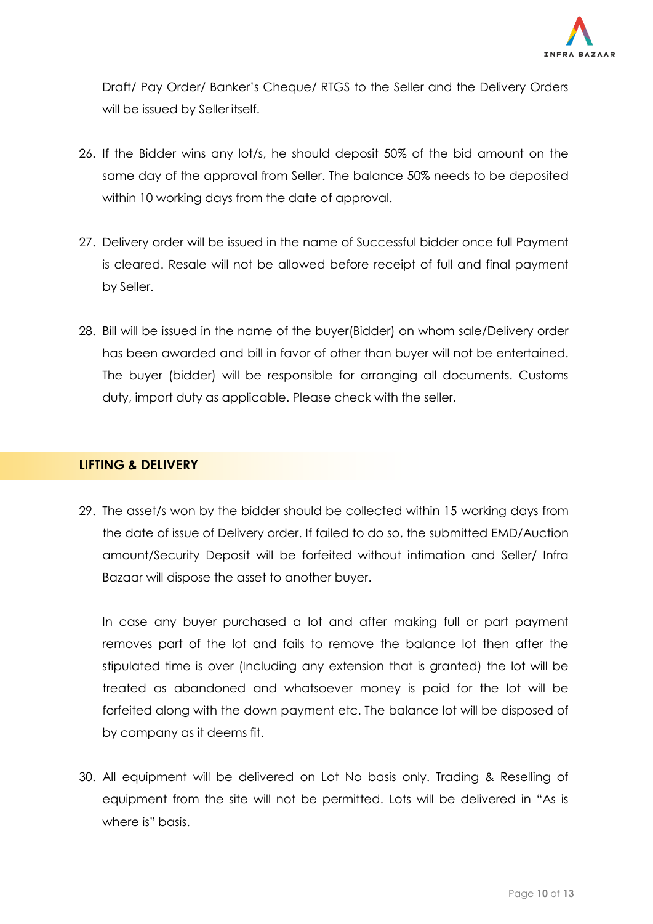

Draft/ Pay Order/ Banker's Cheque/ RTGS to the Seller and the Delivery Orders will be issued by Seller itself.

- 26. If the Bidder wins any lot/s, he should deposit 50% of the bid amount on the same day of the approval from Seller. The balance 50% needs to be deposited within 10 working days from the date of approval.
- 27. Delivery order will be issued in the name of Successful bidder once full Payment is cleared. Resale will not be allowed before receipt of full and final payment by Seller.
- 28. Bill will be issued in the name of the buyer(Bidder) on whom sale/Delivery order has been awarded and bill in favor of other than buyer will not be entertained. The buyer (bidder) will be responsible for arranging all documents. Customs duty, import duty as applicable. Please check with the seller.

### **LIFTING & DELIVERY**

29. The asset/s won by the bidder should be collected within 15 working days from the date of issue of Delivery order. If failed to do so, the submitted EMD/Auction amount/Security Deposit will be forfeited without intimation and Seller/ Infra Bazaar will dispose the asset to another buyer.

In case any buyer purchased a lot and after making full or part payment removes part of the lot and fails to remove the balance lot then after the stipulated time is over (Including any extension that is granted) the lot will be treated as abandoned and whatsoever money is paid for the lot will be forfeited along with the down payment etc. The balance lot will be disposed of by company as it deems fit.

30. All equipment will be delivered on Lot No basis only. Trading & Reselling of equipment from the site will not be permitted. Lots will be delivered in "As is where is" basis.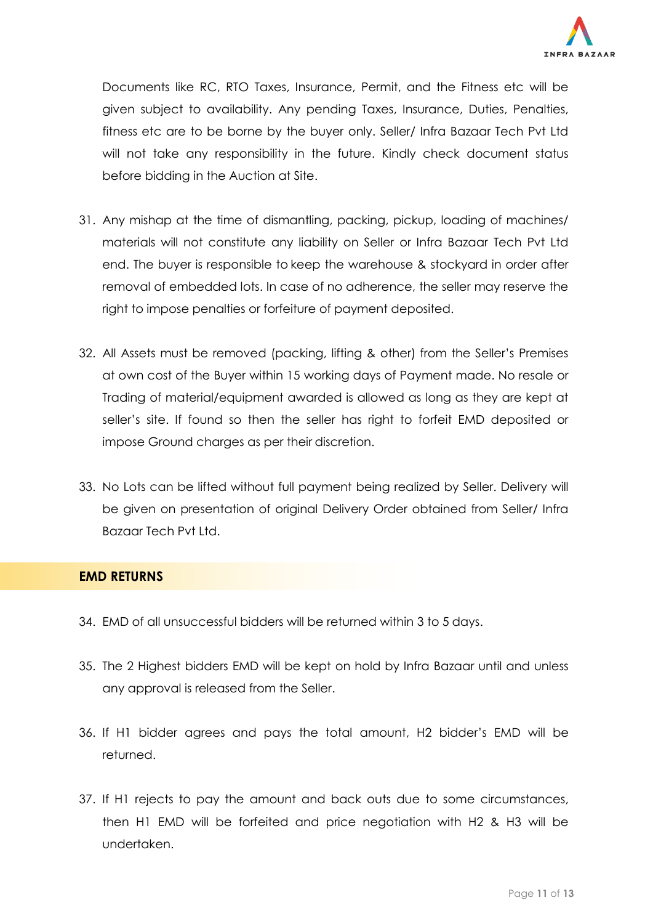

Documents like RC, RTO Taxes, Insurance, Permit, and the Fitness etc will be given subject to availability. Any pending Taxes, Insurance, Duties, Penalties, fitness etc are to be borne by the buyer only. Seller/ Infra Bazaar Tech Pvt Ltd will not take any responsibility in the future. Kindly check document status before bidding in the Auction at Site.

- 31. Any mishap at the time of dismantling, packing, pickup, loading of machines/ materials will not constitute any liability on Seller or Infra Bazaar Tech Pvt Ltd end. The buyer is responsible to keep the warehouse & stockyard in order after removal of embedded lots. In case of no adherence, the seller may reserve the right to impose penalties or forfeiture of payment deposited.
- 32. All Assets must be removed (packing, lifting & other) from the Seller's Premises at own cost of the Buyer within 15 working days of Payment made. No resale or Trading of material/equipment awarded is allowed as long as they are kept at seller's site. If found so then the seller has right to forfeit EMD deposited or impose Ground charges as per their discretion.
- 33. No Lots can be lifted without full payment being realized by Seller. Delivery will be given on presentation of original Delivery Order obtained from Seller/ Infra Bazaar Tech Pvt Ltd.

### **EMD RETURNS**

- 34. EMD of all unsuccessful bidders will be returned within 3 to 5 days.
- 35. The 2 Highest bidders EMD will be kept on hold by Infra Bazaar until and unless any approval is released from the Seller.
- 36. If H1 bidder agrees and pays the total amount, H2 bidder's EMD will be returned.
- 37. If H1 rejects to pay the amount and back outs due to some circumstances, then H1 EMD will be forfeited and price negotiation with H2 & H3 will be undertaken.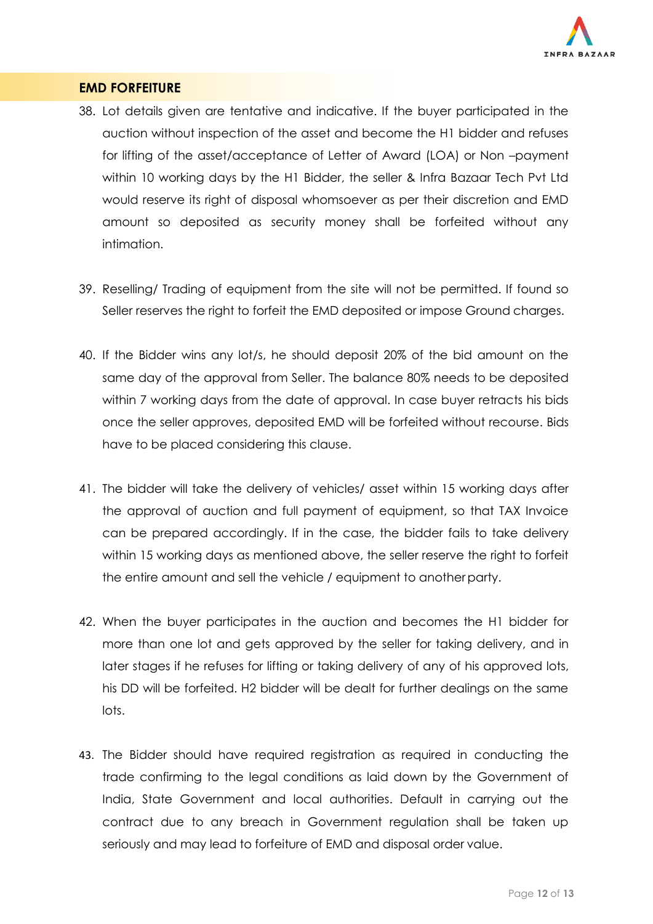

### **EMD FORFEITURE**

- 38. Lot details given are tentative and indicative. If the buyer participated in the auction without inspection of the asset and become the H1 bidder and refuses for lifting of the asset/acceptance of Letter of Award (LOA) or Non –payment within 10 working days by the H1 Bidder, the seller & Infra Bazaar Tech Pvt Ltd would reserve its right of disposal whomsoever as per their discretion and EMD amount so deposited as security money shall be forfeited without any intimation.
- 39. Reselling/ Trading of equipment from the site will not be permitted. If found so Seller reserves the right to forfeit the EMD deposited or impose Ground charges.
- 40. If the Bidder wins any lot/s, he should deposit 20% of the bid amount on the same day of the approval from Seller. The balance 80% needs to be deposited within 7 working days from the date of approval. In case buyer retracts his bids once the seller approves, deposited EMD will be forfeited without recourse. Bids have to be placed considering this clause.
- 41. The bidder will take the delivery of vehicles/ asset within 15 working days after the approval of auction and full payment of equipment, so that TAX Invoice can be prepared accordingly. If in the case, the bidder fails to take delivery within 15 working days as mentioned above, the seller reserve the right to forfeit the entire amount and sell the vehicle / equipment to anotherparty.
- 42. When the buyer participates in the auction and becomes the H1 bidder for more than one lot and gets approved by the seller for taking delivery, and in later stages if he refuses for lifting or taking delivery of any of his approved lots, his DD will be forfeited. H2 bidder will be dealt for further dealings on the same lots.
- 43. The Bidder should have required registration as required in conducting the trade confirming to the legal conditions as laid down by the Government of India, State Government and local authorities. Default in carrying out the contract due to any breach in Government regulation shall be taken up seriously and may lead to forfeiture of EMD and disposal order value.